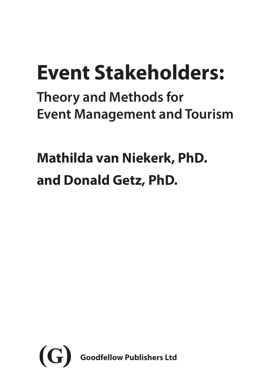# **Event Stakeholders:**

### **Theory and Methods for Event Management and Tourism**

## **Mathilda van Niekerk, PhD. and Donald Getz, PhD.**

<span id="page-0-0"></span>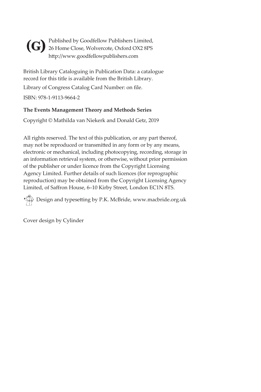<span id="page-1-0"></span>Published by Goodfellow Publishers Limited, 26 Home Close, Wolvercote, Oxford OX2 8PS **(G)**http://www.goodfellowpublishers.com

British Library Cataloguing in Publication Data: a catalogue record for this title is available from the British Library. Library of Congress Catalog Card Number: on file.

ISBN: 978-1-9113-9664-2

#### **The Events Management Theory and Methods Series**

Copyright © Mathilda van Niekerk and Donald Getz, 2019

All rights reserved. The text of this publication, or any part thereof, may not be reproduced or transmitted in any form or by any means, electronic or mechanical, including photocopying, recording, storage in an information retrieval system, or otherwise, without prior permission of the publisher or under licence from the Copyright Licensing Agency Limited. Further details of such licences (for reprographic reproduction) may be obtained from the Copyright Licensing Agency Limited, of Saffron House, 6–10 Kirby Street, London EC1N 8TS.

Design and typesetting by P.K. McBride, www.macbride.org.uk

Cover design by Cylinder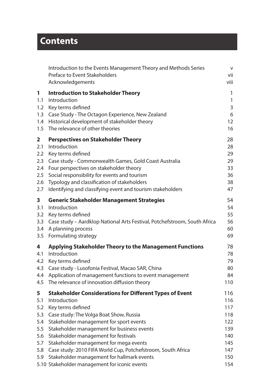### **Contents**

|     | Introduction to the Events Management Theory and Methods Series<br>Preface to Event Stakeholders<br>Acknowledgements | V<br>vii<br>viii |
|-----|----------------------------------------------------------------------------------------------------------------------|------------------|
| 1   | <b>Introduction to Stakeholder Theory</b>                                                                            | 1                |
| 1.1 | Introduction                                                                                                         | $\mathbf{1}$     |
| 1.2 | Key terms defined                                                                                                    | 3                |
| 1.3 | Case Study - The Octagon Experience, New Zealand                                                                     | 6                |
| 1.4 | Historical development of stakeholder theory                                                                         | 12               |
| 1.5 | The relevance of other theories                                                                                      | 16               |
| 2   | <b>Perspectives on Stakeholder Theory</b>                                                                            | 28               |
| 2.1 | Introduction                                                                                                         | 28               |
| 2.2 | Key terms defined                                                                                                    | 29               |
| 2.3 | Case study - Commonwealth Games, Gold Coast Australia                                                                | 29               |
| 2.4 | Four perspectives on stakeholder theory                                                                              | 33               |
| 2.5 | Social responsibility for events and tourism                                                                         | 36               |
| 2.6 | Typology and classification of stakeholders                                                                          | 38               |
| 2.7 | Identifying and classifying event and tourism stakeholders                                                           | 47               |
| 3   | <b>Generic Stakeholder Management Strategies</b>                                                                     | 54               |
| 3.1 | Introduction                                                                                                         | 54               |
| 3.2 | Key terms defined                                                                                                    | 55               |
| 3.3 | Case study - Aardklop National Arts Festival, Potchefstroom, South Africa                                            | 56               |
| 3.4 | A planning process                                                                                                   | 60               |
| 3.5 | Formulating strategy                                                                                                 | 69               |
| 4   | Applying Stakeholder Theory to the Management Functions                                                              | 78               |
| 4.1 | Introduction                                                                                                         | 78               |
| 4.2 | Key terms defined                                                                                                    | 79               |
| 4.3 | Case study - Lusofonia Festival, Macao SAR, China                                                                    | 80               |
| 4.4 | Application of management functions to event management                                                              | 84               |
| 4.5 | The relevance of innovation diffusion theory                                                                         | 110              |
| 5   | <b>Stakeholder Considerations for Different Types of Event</b>                                                       | 116              |
| 5.1 | Introduction                                                                                                         | 116              |
| 5.2 | Key terms defined                                                                                                    | 117              |
| 5.3 | Case study: The Volga Boat Show, Russia                                                                              | 118              |
| 5.4 | Stakeholder management for sport events                                                                              | 122              |
| 5.5 | Stakeholder management for business events                                                                           | 139              |
| 5.6 | Stakeholder management for festivals                                                                                 | 140              |
| 5.7 | Stakeholder management for mega events                                                                               | 145              |
| 5.8 | Case study: 2010 FIFA World Cup, Potchefstroom, South Africa                                                         | 147              |
| 5.9 | Stakeholder management for hallmark events                                                                           | 150              |
|     | 5.10 Stakeholder management for iconic events                                                                        | 154              |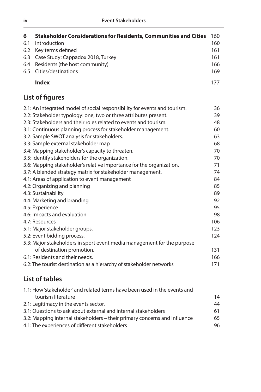| 6                                                                         | <b>Stakeholder Considerations for Residents, Communities and Cities</b> | 160 |  |
|---------------------------------------------------------------------------|-------------------------------------------------------------------------|-----|--|
| 6.1                                                                       | Introduction                                                            | 160 |  |
| 6.2                                                                       | Key terms defined                                                       | 161 |  |
| 6.3                                                                       | Case Study: Cappadox 2018, Turkey                                       | 161 |  |
| 6.4                                                                       | Residents (the host community)                                          | 166 |  |
| 6.5                                                                       | Cities/destinations                                                     | 169 |  |
|                                                                           | <b>Index</b>                                                            | 177 |  |
|                                                                           | List of figures                                                         |     |  |
| 2.1: An integrated model of social responsibility for events and tourism. |                                                                         |     |  |
|                                                                           | 2.2: Stakeholder typology: one, two or three attributes present.        |     |  |
|                                                                           | 2.3: Stakeholders and their roles related to events and tourism.        |     |  |
|                                                                           | 3.1: Continuous planning process for stakeholder management.            |     |  |

| 3.2: Sample SWOT analysis for stakeholders.                             | 63  |
|-------------------------------------------------------------------------|-----|
| 3.3: Sample external stakeholder map                                    | 68  |
| 3.4: Mapping stakeholder's capacity to threaten.                        | 70  |
| 3.5: Identify stakeholders for the organization.                        | 70  |
| 3.6: Mapping stakeholder's relative importance for the organization.    | 71  |
| 3.7: A blended strategy matrix for stakeholder management.              | 74  |
| 4.1: Areas of application to event management                           | 84  |
| 4.2: Organizing and planning                                            | 85  |
| 4.3: Sustainability                                                     | 89  |
| 4.4: Marketing and branding                                             | 92  |
| 4.5: Experience                                                         | 95  |
| 4.6: Impacts and evaluation                                             | 98  |
| 4.7: Resources                                                          | 106 |
| 5.1: Major stakeholder groups.                                          | 123 |
| 5.2: Event bidding process.                                             | 124 |
| 5.3: Major stakeholders in sport event media management for the purpose |     |
| of destination promotion.                                               | 131 |
| 6.1: Residents and their needs.                                         | 166 |
| 6.2: The tourist destination as a hierarchy of stakeholder networks     | 171 |

#### **List of tables**

| 14 |
|----|
| 44 |
| 61 |
| 65 |
| 96 |
|    |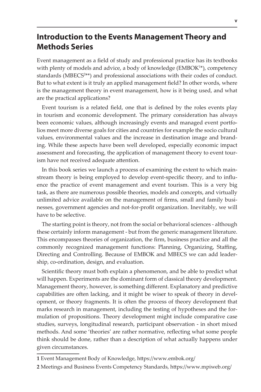#### <span id="page-4-0"></span>**Introduction to the Events Management Theory and Methods Series**

Event management as a field of study and professional practice has its textbooks with plenty of models and advice, a body of knowledge  $(EMBOK^{1*})$ , competency standards (MBECS<sup>2\*\*</sup>) and professional associations with their codes of conduct. But to what extent is it truly an applied management field? In other words, where is the management theory in event management, how is it being used, and what are the practical applications?

Event tourism is a related field, one that is defined by the roles events play in tourism and economic development. The primary consideration has always been economic values, although increasingly events and managed event portfolios meet more diverse goals for cities and countries for example the socio cultural values, environmental values and the increase in destination image and branding. While these aspects have been well developed, especially economic impact assessment and forecasting, the application of management theory to event tourism have not received adequate attention.

In this book series we launch a process of examining the extent to which mainstream theory is being employed to develop event-specific theory, and to influence the practice of event management and event tourism. This is a very big task, as there are numerous possible theories, models and concepts, and virtually unlimited advice available on the management of firms, small and family businesses, government agencies and not-for-profit organization. Inevitably, we will have to be selective.

The starting point is theory, not from the social or behavioral sciences - although these certainly inform management - but from the generic management literature. This encompasses theories of organization, the firm, business practice and all the commonly recognized management functions: Planning, Organizing, Staffing, Directing and Controlling. Because of EMBOK and MBECS we can add leadership, co-ordination, design, and evaluation.

Scientific theory must both explain a phenomenon, and be able to predict what will happen. Experiments are the dominant form of classical theory development. Management theory, however, is something different. Explanatory and predictive capabilities are often lacking, and it might be wiser to speak of theory in development, or theory fragments. It is often the process of theory development that marks research in management, including the testing of hypotheses and the formulation of propositions. Theory development might include comparative case studies, surveys, longitudinal research, participant observation - in short mixed methods. And some 'theories' are rather normative, reflecting what some people think should be done, rather than a description of what actually happens under given circumstances.

**<sup>1</sup>** Event Management Body of Knowledge, https://www.embok.org/

**<sup>2</sup>** Meetings and Business Events Competency Standards, https://www.mpiweb.org/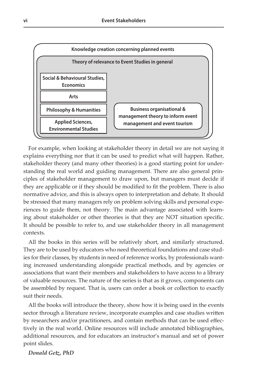<span id="page-5-0"></span>

For example, when looking at stakeholder theory in detail we are not saying it explains everything nor that it can be used to predict what will happen. Rather, stakeholder theory (and many other theories) is a good starting point for understanding the real world and guiding management. There are also general principles of stakeholder management to draw upon, but managers must decide if they are applicable or if they should be modified to fit the problem. There is also normative advice, and this is always open to interpretation and debate. It should be stressed that many managers rely on problem solving skills and personal experiences to guide them, not theory. The main advantage associated with learning about stakeholder or other theories is that they are NOT situation specific. It should be possible to refer to, and use stakeholder theory in all management contexts.

All the books in this series will be relatively short, and similarly structured. They are to be used by educators who need theoretical foundations and case studies for their classes, by students in need of reference works, by professionals wanting increased understanding alongside practical methods, and by agencies or associations that want their members and stakeholders to have access to a library of valuable resources. The nature of the series is that as it grows, components can be assembled by request. That is, users can order a book or collection to exactly suit their needs.

All the books will introduce the theory, show how it is being used in the events sector through a literature review, incorporate examples and case studies written by researchers and/or practitioners, and contain methods that can be used effectively in the real world. Online resources will include annotated bibliographies, additional resources, and for educators an instructor's manual and set of power point slides.

*Donald Getz, PhD*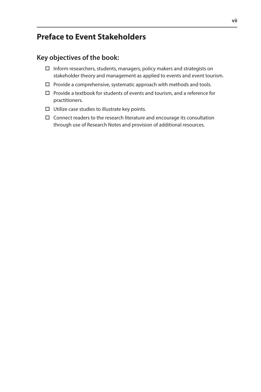#### <span id="page-6-0"></span>**Preface to Event Stakeholders**

#### **Key objectives of the book:**

- $\Box$  Inform researchers, students, managers, policy makers and strategists on stakeholder theory and management as applied to events and event tourism.
- $\square$  Provide a comprehensive, systematic approach with methods and tools.
- $\Box$  Provide a textbook for students of events and tourism, and a reference for practitioners.
- $\Box$  Utilize case studies to illustrate key points.
- $\Box$  Connect readers to the research literature and encourage its consultation through use of Research Notes and provision of additional resources.